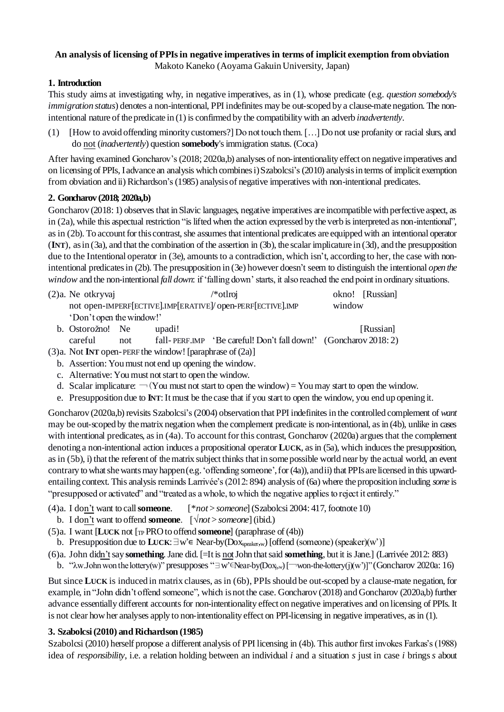# **An analysis of licensing of PPIs in negative imperatives in terms of implicit exemption from obviation**

Makoto Kaneko (Aoyama Gakuin University, Japan)

## **1. Introduction**

This study aims at investigating why, in negative imperatives, as in (1), whose predicate (e.g. *question somebody's immigration status*) denotes a non-intentional, PPI indefinites may be out-scoped by a clause-mate negation. The nonintentional nature of the predicate in (1) is confirmed by the compatibility with an adverb *inadvertently*.

(1) [How to avoid offending minority customers?] Do not touch them. […] Do not use profanity or racial slurs, and do not (*inadvertently*) question **somebody**'s immigration status. (Coca)

After having examined Goncharov's (2018; 2020a,b) analyses of non-intentionality effect on negative imperatives and on licensing of PPIs, I advance an analysis which combines i) Szabolcsi's(2010) analysisin terms of implicit exemption from obviation and ii) Richardson's(1985) analysis of negative imperatives with non-intentional predicates.

## **2. Goncharov (2018; 2020a,b)**

Goncharov (2018: 1) observes that in Slavic languages, negative imperatives are incompatible with perfective aspect, as in (2a), while this aspectual restriction "is lifted when the action expressed by the verb is interpreted as non-intentional", as in (2b). To account for this contrast, she assumes that intentional predicates are equipped with an intentional operator (**INT**), as in (3a), and that the combination of the assertion in (3b), the scalar implicature in (3d), and the presupposition due to the Intentional operator in (3e), amounts to a contradiction, which isn't, according to her, the case with nonintentional predicatesin (2b). The presupposition in (3e) however doesn't seem to distinguish the intentional *open the window* and the non-intentional *fall down*: if 'falling down' starts, it also reached the end point in ordinary situations.

| $(2)a$ . Ne otkryvaj                                        |  |        | /*otlroj                                                                                                                                                                                                                                                                                                         |        | okno! [Russian] |
|-------------------------------------------------------------|--|--------|------------------------------------------------------------------------------------------------------------------------------------------------------------------------------------------------------------------------------------------------------------------------------------------------------------------|--------|-----------------|
| not open-IMPERF[ECTIVE].IMP[ERATIVE]/ open-PERF[ECTIVE].IMP |  |        |                                                                                                                                                                                                                                                                                                                  | window |                 |
| 'Don't open the window!'                                    |  |        |                                                                                                                                                                                                                                                                                                                  |        |                 |
| b. Ostorožno! Ne                                            |  | upadi! |                                                                                                                                                                                                                                                                                                                  |        | [Russian]       |
| $\sim$ $\sim$ 1                                             |  |        | $\binom{11}{1}$ $\frac{1}{2}$ $\frac{1}{2}$ $\frac{1}{2}$ $\binom{11}{1}$ $\frac{1}{2}$ $\binom{11}{1}$ $\frac{1}{2}$ $\binom{11}{1}$ $\frac{1}{2}$ $\binom{11}{1}$ $\frac{1}{2}$ $\binom{11}{1}$ $\frac{1}{2}$ $\binom{11}{1}$ $\frac{1}{2}$ $\binom{11}{1}$ $\frac{1}{2}$ $\binom{11}{1}$ $\frac{1}{2}$ $\bin$ |        |                 |

careful not fall- PERF.IMP 'Be careful! Don't fall down!' (Goncharov 2018: 2)

(3)a. Not **INT** open-PERF the window! [paraphrase of (2a)]

b. Assertion: You must not end up opening the window.

- c. Alternative: You must not start to open the window.
- d. Scalar implicature:  $\neg$  (You must not start to open the window) = You may start to open the window.
- e. Presupposition due to **INT**: It must be the case that if you start to open the window, you end up opening it.

Goncharov (2020a,b) revisits Szabolcsi's(2004) observation that PPI indefinites in the controlled complement of *want* may be out-scoped by the matrix negation when the complement predicate is non-intentional, as in (4b), unlike in cases with intentional predicates, as in (4a). To account for this contrast, Goncharov (2020a) argues that the complement denoting a non-intentional action induces a propositional operator **LUCK**, as in (5a), which induces the presupposition, as in (5b), i) that the referent of the matrix subject thinks that in some possible world near by the actual world, an event contrary to what she wants may happen (e.g. 'offending someone', for (4a)), and ii) that PPIs are licensed in this upwardentailing context. This analysisreminds Larrivée's (2012: 894) analysis of (6a) where the proposition including *some* is "presupposed or activated" and "treated as a whole, to which the negative applies to reject it entirely."

- (4)a. I don't want to call**someone**. [\**not* > *someone*] (Szabolcsi 2004: 417, footnote 10)
- b. I don't want to offend **someone**. [√*not* > *someone*] (ibid.)
- (5)a. I want [**LUCK** not [TP PRO to offend **someone**] (paraphrase of (4b))

b. Presupposition due to **LUCK**:∃w'∊ Near-by(Doxspeaker,w) [offend (someone) (speaker)(w')]

(6)a. John didn'tsay **something**. Jane did. [=It is notJohn that said **something**, but it is Jane.] (Larrivée 2012: 883)

b. "λw.John won the lottery(w)" presupposes "∃w'∈Near-by(Dox<sub>j,w</sub>) [¬won-the-lottery(j)(w')]" (Goncharov 2020a: 16)

But since **LUCK** is induced in matrix clauses, as in (6b), PPIs should be out-scoped by a clause-mate negation, for example, in "John didn't offend someone", which is not the case. Goncharov (2018) and Goncharov (2020a,b) further advance essentially different accounts for non-intentionality effect on negative imperatives and on licensing of PPIs. It is not clear how her analyses apply to non-intentionality effect on PPI-licensing in negative imperatives, as in (1).

## **3. Szabolcsi (2010) and Richardson (1985)**

Szabolcsi (2010) herself propose a different analysis of PPI licensing in (4b). This author first invokes Farkas's (1988) idea of *responsibility*, i.e. a relation holding between an individual *i* and a situation *s* just in case *i* brings *s* about